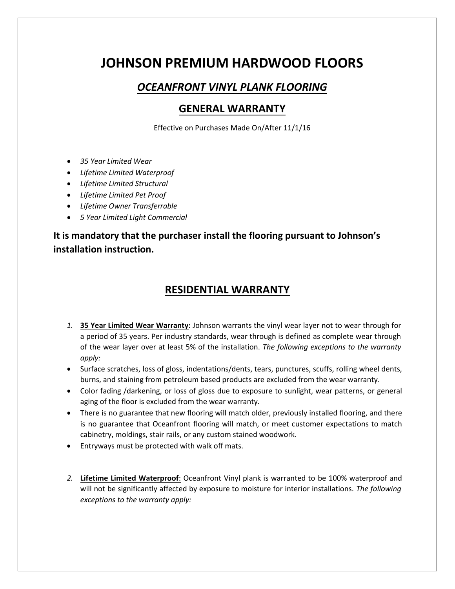# **JOHNSON PREMIUM HARDWOOD FLOORS**

## *OCEANFRONT VINYL PLANK FLOORING*

### **GENERAL WARRANTY**

Effective on Purchases Made On/After 11/1/16

- *35 Year Limited Wear*
- *Lifetime Limited Waterproof*
- *Lifetime Limited Structural*
- *Lifetime Limited Pet Proof*
- *Lifetime Owner Transferrable*
- *5 Year Limited Light Commercial*

**It is mandatory that the purchaser install the flooring pursuant to Johnson's installation instruction.** 

#### **RESIDENTIAL WARRANTY**

- *1.* **35 Year Limited Wear Warranty:** Johnson warrants the vinyl wear layer not to wear through for a period of 35 years. Per industry standards, wear through is defined as complete wear through of the wear layer over at least 5% of the installation. *The following exceptions to the warranty apply:*
- Surface scratches, loss of gloss, indentations/dents, tears, punctures, scuffs, rolling wheel dents, burns, and staining from petroleum based products are excluded from the wear warranty.
- Color fading /darkening, or loss of gloss due to exposure to sunlight, wear patterns, or general aging of the floor is excluded from the wear warranty.
- There is no guarantee that new flooring will match older, previously installed flooring, and there is no guarantee that Oceanfront flooring will match, or meet customer expectations to match cabinetry, moldings, stair rails, or any custom stained woodwork.
- Entryways must be protected with walk off mats.
- *2.* **Lifetime Limited Waterproof**: Oceanfront Vinyl plank is warranted to be 100% waterproof and will not be significantly affected by exposure to moisture for interior installations. *The following exceptions to the warranty apply:*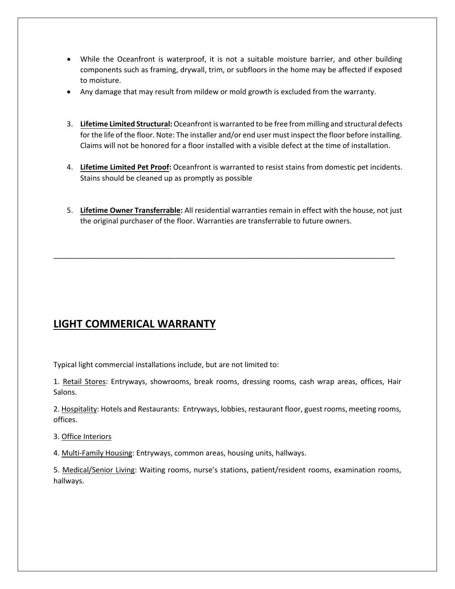- While the Oceanfront is waterproof, it is not a suitable moisture barrier, and other building components such as framing, drywall, trim, or subfloors in the home may be affected if exposed to moisture.
- Any damage that may result from mildew or mold growth is excluded from the warranty.
- 3. **Lifetime Limited Structural:** Oceanfront is warranted to be free from milling and structural defects for the life of the floor. Note: The installer and/or end user must inspect the floor before installing. Claims will not be honored for a floor installed with a visible defect at the time of installation.
- 4. **Lifetime Limited Pet Proof:** Oceanfront is warranted to resist stains from domestic pet incidents. Stains should be cleaned up as promptly as possible
- 5. **Lifetime Owner Transferrable:** All residential warranties remain in effect with the house, not just the original purchaser of the floor. Warranties are transferrable to future owners.

\_\_\_\_\_\_\_\_\_\_\_\_\_\_\_\_\_\_\_\_\_\_\_\_\_\_\_\_\_\_\_\_\_\_\_\_\_\_\_\_\_\_\_\_\_\_\_\_\_\_\_\_\_\_\_\_\_\_\_\_\_\_\_\_\_\_\_\_\_\_\_\_\_\_\_\_\_\_\_\_\_\_\_\_

## **LIGHT COMMERICAL WARRANTY**

Typical light commercial installations include, but are not limited to:

1. Retail Stores: Entryways, showrooms, break rooms, dressing rooms, cash wrap areas, offices, Hair Salons.

2. Hospitality: Hotels and Restaurants: Entryways, lobbies, restaurant floor, guest rooms, meeting rooms, offices.

3. Office Interiors

4. Multi-Family Housing: Entryways, common areas, housing units, hallways.

5. Medical/Senior Living: Waiting rooms, nurse's stations, patient/resident rooms, examination rooms, hallways.